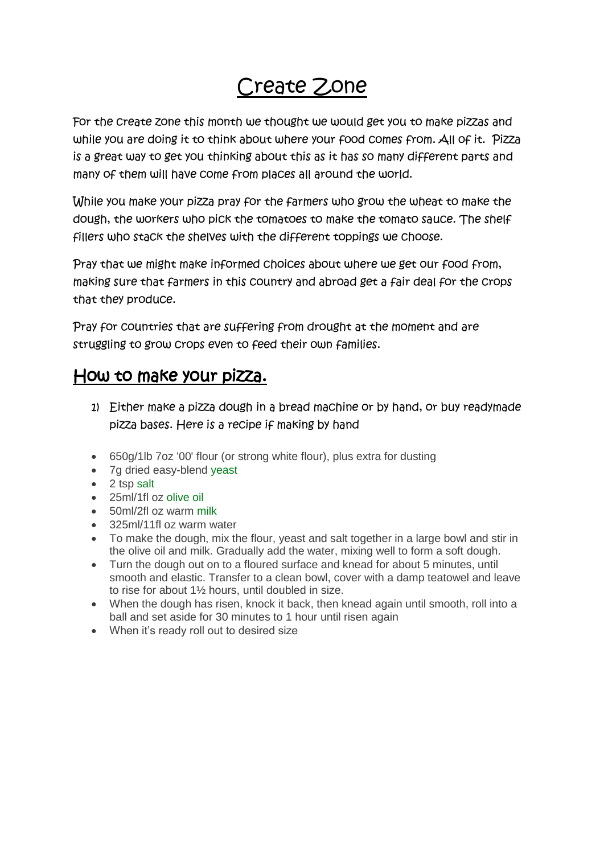## Create Zone

For the create zone this month we thought we would get you to make pizzas and while you are doing it to think about where your food comes from. All of it. Pizza is a great way to get you thinking about this as it has so many different parts and many of them will have come from places all around the world.

While you make your pizza pray for the farmers who grow the wheat to make the dough, the workers who pick the tomatoes to make the tomato sauce. The shelf fillers who stack the shelves with the different toppings we choose.

Pray that we might make informed choices about where we get our food from, making sure that farmers in this country and abroad get a fair deal for the crops that they produce.

Pray for countries that are suffering from drought at the moment and are struggling to grow crops even to feed their own families.

## How to make your pizza.

- 1) Either make a pizza dough in a bread machine or by hand, or buy readymade pizza bases. Here is a recipe if making by hand
- 650g/1lb 7oz '00' flour (or strong white flour), plus extra for dusting
- 7g dried easy-blend [yeast](https://www.bbc.co.uk/food/yeast)
- $\bullet$  2 tsp [salt](https://www.bbc.co.uk/food/salt)
- 25ml/1fl oz [olive oil](https://www.bbc.co.uk/food/olive_oil)
- 50ml/2fl oz warm [milk](https://www.bbc.co.uk/food/milk)
- 325ml/11fl oz warm water
- To make the dough, mix the flour, yeast and salt together in a large bowl and stir in the olive oil and milk. Gradually add the water, mixing well to form a soft dough.
- Turn the dough out on to a floured surface and knead for about 5 minutes, until smooth and elastic. Transfer to a clean bowl, cover with a damp teatowel and leave to rise for about 1½ hours, until doubled in size.
- When the dough has risen, knock it back, then knead again until smooth, roll into a ball and set aside for 30 minutes to 1 hour until risen again
- When it's ready roll out to desired size